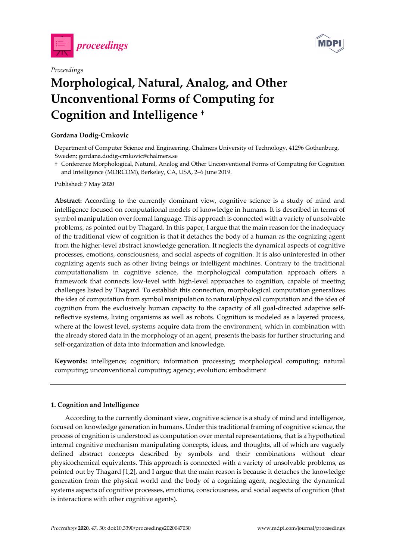



## *Proceedings*

# **Morphological, Natural, Analog, and Other Unconventional Forms of Computing for Cognition and Intelligence †**

## **Gordana Dodig-Crnkovic**

Department of Computer Science and Engineering, Chalmers University of Technology, 41296 Gothenburg, Sweden; gordana.dodig-crnkovic@chalmers.se

† Conference Morphological, Natural, Analog and Other Unconventional Forms of Computing for Cognition and Intelligence (MORCOM), Berkeley, CA, USA, 2–6 June 2019.

Published: 7 May 2020

**Abstract:** According to the currently dominant view, cognitive science is a study of mind and intelligence focused on computational models of knowledge in humans*.* It is described in terms of symbol manipulation over formal language. This approach is connected with a variety of unsolvable problems, as pointed out by Thagard. In this paper, I argue that the main reason for the inadequacy of the traditional view of cognition is that it detaches the body of a human as the cognizing agent from the higher-level abstract knowledge generation. It neglects the dynamical aspects of cognitive processes, emotions, consciousness, and social aspects of cognition. It is also uninterested in other cognizing agents such as other living beings or intelligent machines. Contrary to the traditional computationalism in cognitive science, the morphological computation approach offers a framework that connects low-level with high-level approaches to cognition, capable of meeting challenges listed by Thagard. To establish this connection, morphological computation generalizes the idea of computation from symbol manipulation to natural/physical computation and the idea of cognition from the exclusively human capacity to the capacity of all goal-directed adaptive selfreflective systems, living organisms as well as robots. Cognition is modeled as a layered process, where at the lowest level, systems acquire data from the environment, which in combination with the already stored data in the morphology of an agent, presents the basis for further structuring and self-organization of data into information and knowledge.

**Keywords:** intelligence; cognition; information processing; morphological computing; natural computing; unconventional computing; agency; evolution; embodiment

## **1. Cognition and Intelligence**

According to the currently dominant view, cognitive science is a study of mind and intelligence, focused on knowledge generation in humans. Under this traditional framing of cognitive science, the process of cognition is understood as computation over mental representations, that is a hypothetical internal cognitive mechanism manipulating concepts, ideas, and thoughts, all of which are vaguely defined abstract concepts described by symbols and their combinations without clear physicochemical equivalents. This approach is connected with a variety of unsolvable problems, as pointed out by Thagard [1,2], and I argue that the main reason is because it detaches the knowledge generation from the physical world and the body of a cognizing agent, neglecting the dynamical systems aspects of cognitive processes, emotions, consciousness, and social aspects of cognition (that is interactions with other cognitive agents).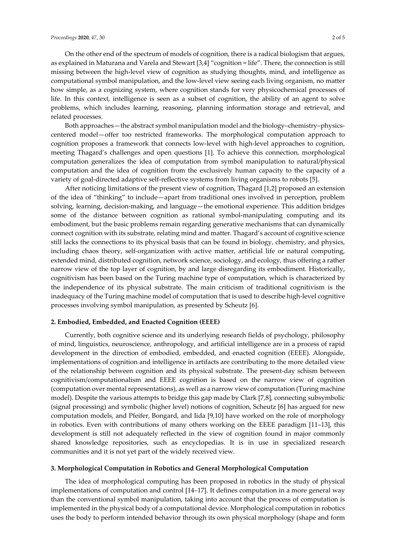On the other end of the spectrum of models of cognition, there is a radical biologism that argues, as explained in Maturana and Varela and Stewart [3,4] "cognition = life". There, the connection is still missing between the high-level view of cognition as studying thoughts, mind, and intelligence as computational symbol manipulation, and the low-level view seeing each living organism, no matter how simple, as a cognizing system, where cognition stands for very physicochemical processes of life. In this context, intelligence is seen as a subset of cognition, the ability of an agent to solve problems, which includes learning, reasoning, planning information storage and retrieval, and related processes.

Both approaches—the abstract symbol manipulation model and the biology–chemistry–physicscentered model—offer too restricted frameworks. The morphological computation approach to cognition proposes a framework that connects low-level with high-level approaches to cognition, meeting Thagard's challenges and open questions [1]. To achieve this connection, morphological computation generalizes the idea of computation from symbol manipulation to natural/physical computation and the idea of cognition from the exclusively human capacity to the capacity of a variety of goal-directed adaptive self-reflective systems from living organisms to robots [5].

After noticing limitations of the present view of cognition, Thagard [1,2] proposed an extension of the idea of "thinking" to include—apart from traditional ones involved in perception, problem solving, learning, decision-making, and language—the emotional experience. This addition bridges some of the distance between cognition as rational symbol-manipulating computing and its embodiment, but the basic problems remain regarding generative mechanisms that can dynamically connect cognition with its substrate, relating mind and matter. Thagard's account of cognitive science still lacks the connections to its physical basis that can be found in biology, chemistry, and physics, including chaos theory, self-organization with active matter, artificial life or natural computing, extended mind, distributed cognition, network science, sociology, and ecology, thus offering a rather narrow view of the top layer of cognition, by and large disregarding its embodiment. Historically, cognitivism has been based on the Turing machine type of computation, which is characterized by the independence of its physical substrate. The main criticism of traditional cognitivism is the inadequacy of the Turing machine model of computation that is used to describe high-level cognitive processes involving symbol manipulation, as presented by Scheutz [6].

#### **2. Embodied, Embedded, and Enacted Cognition (EEEE)**

Currently, both cognitive science and its underlying research fields of psychology, philosophy of mind, linguistics, neuroscience, anthropology, and artificial intelligence are in a process of rapid development in the direction of embodied, embedded, and enacted cognition (EEEE). Alongside, implementations of cognition and intelligence in artifacts are contributing to the more detailed view of the relationship between cognition and its physical substrate. The present-day schism between cognitivism/computationalism and EEEE cognition is based on the narrow view of cognition (computation over mental representations), as well as a narrow view of computation (Turing machine model). Despite the various attempts to bridge this gap made by Clark [7,8], connecting subsymbolic (signal processing) and symbolic (higher level) notions of cognition, Scheutz [6] has argued for new computation models, and Pfeifer, Bongard, and Iida [9,10] have worked on the role of morphology in robotics. Even with contributions of many others working on the EEEE paradigm [11–13], this development is still not adequately reflected in the view of cognition found in major commonly shared knowledge repositories, such as encyclopedias. It is in use in specialized research communities and it is not yet part of the widely received view.

### **3. Morphological Computation in Robotics and General Morphological Computation**

The idea of morphological computing has been proposed in robotics in the study of physical implementations of computation and control [14–17]. It defines computation in a more general way than the conventional symbol manipulation, taking into account that the process of computation is implemented in the physical body of a computational device. Morphological computation in robotics uses the body to perform intended behavior through its own physical morphology (shape and form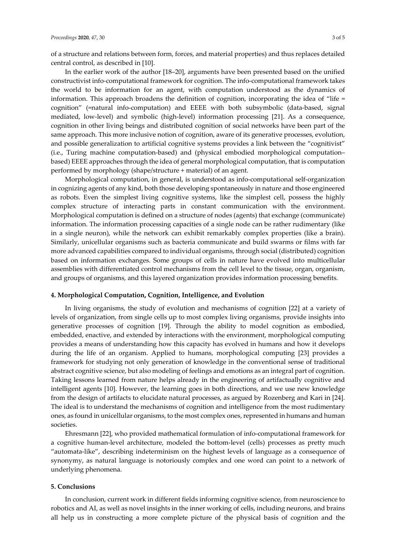of a structure and relations between form, forces, and material properties) and thus replaces detailed central control, as described in [10].

In the earlier work of the author [18–20], arguments have been presented based on the unified constructivist info-computational framework for cognition. The info-computational framework takes the world to be information for an agent, with computation understood as the dynamics of information. This approach broadens the definition of cognition, incorporating the idea of "life  $=$ cognition" (=natural info-computation) and EEEE with both subsymbolic (data-based, signal mediated, low-level) and symbolic (high-level) information processing [21]. As a consequence, cognition in other living beings and distributed cognition of social networks have been part of the same approach. This more inclusive notion of cognition, aware of its generative processes, evolution, and possible generalization to artificial cognitive systems provides a link between the "cognitivist" (i.e., Turing machine computation-based) and (physical embodied morphological computation– based) EEEE approaches through the idea of general morphological computation, that is computation performed by morphology (shape/structure + material) of an agent.

Morphological computation, in general, is understood as info-computational self-organization in cognizing agents of any kind, both those developing spontaneously in nature and those engineered as robots. Even the simplest living cognitive systems, like the simplest cell, possess the highly complex structure of interacting parts in constant communication with the environment. Morphological computation is defined on a structure of nodes (agents) that exchange (communicate) information. The information processing capacities of a single node can be rather rudimentary (like in a single neuron), while the network can exhibit remarkably complex properties (like a brain). Similarly, unicellular organisms such as bacteria communicate and build swarms or films with far more advanced capabilities compared to individual organisms, through social (distributed) cognition based on information exchanges. Some groups of cells in nature have evolved into multicellular assemblies with differentiated control mechanisms from the cell level to the tissue, organ, organism, and groups of organisms, and this layered organization provides information processing benefits.

#### **4. Morphological Computation, Cognition, Intelligence, and Evolution**

In living organisms, the study of evolution and mechanisms of cognition [22] at a variety of levels of organization, from single cells up to most complex living organisms, provide insights into generative processes of cognition [19]. Through the ability to model cognition as embodied, embedded, enactive, and extended by interactions with the environment, morphological computing provides a means of understanding how this capacity has evolved in humans and how it develops during the life of an organism. Applied to humans, morphological computing [23] provides a framework for studying not only generation of knowledge in the conventional sense of traditional abstract cognitive science, but also modeling of feelings and emotions as an integral part of cognition. Taking lessons learned from nature helps already in the engineering of artifactually cognitive and intelligent agents [10]. However, the learning goes in both directions, and we use new knowledge from the design of artifacts to elucidate natural processes, as argued by Rozenberg and Kari in [24]. The ideal is to understand the mechanisms of cognition and intelligence from the most rudimentary ones, as found in unicellular organisms, to the most complex ones, represented in humans and human societies.

Ehresmann [22], who provided mathematical formulation of info-computational framework for a cognitive human-level architecture, modeled the bottom-level (cells) processes as pretty much "automata-like", describing indeterminism on the highest levels of language as a consequence of synonymy, as natural language is notoriously complex and one word can point to a network of underlying phenomena.

#### **5. Conclusions**

In conclusion, current work in different fields informing cognitive science, from neuroscience to robotics and AI, as well as novel insights in the inner working of cells, including neurons, and brains all help us in constructing a more complete picture of the physical basis of cognition and the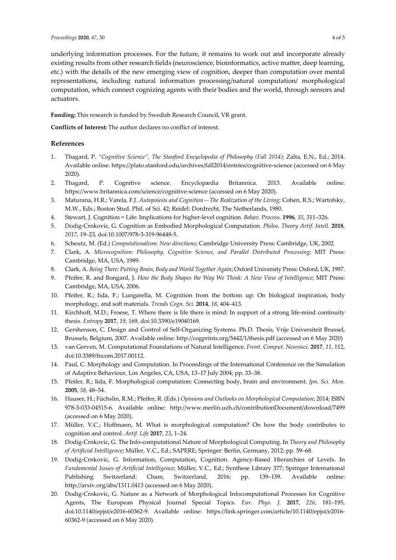underlying information processes. For the future, it remains to work out and incorporate already existing results from other research fields (neuroscience, bioinformatics, active matter, deep learning, etc.) with the details of the new emerging view of cognition, deeper than computation over mental representations, including natural information processing/natural computation/ morphological computation, which connect cognizing agents with their bodies and the world, through sensors and actuators.

**Funding:** This research is funded by Swedish Research Council, VR grant.

**Conflicts of Interest:** The author declares no conflict of interest.

## **References**

- 1. Thagard, P. *"Cognitive Science", The Stanford Encyclopedia of Philosophy (Fall 2014)*; Zalta, E.N., Ed.; 2014. Available online: https://plato.stanford.edu/archives/fall2014/entries/cognitive-science (accessed on 6 May 2020).
- 2. Thagard, P. Cognitive science. Encyclopædia Britannica. 2013. Available online: https://www.britannica.com/science/cognitive-science (accessed on 6 May 2020).
- 3. Maturana, H.R.; Varela, F.J. *Autopoiesis and Cognition—The Realization of the Living*; Cohen, R.S.; Wartofsky, M.W., Eds.; Boston Stud. Phil. of Sci. 42; Reidel: Dordrecht, The Netherlands, 1980.
- 4. Stewart, J. Cognition = Life: Implications for higher-level cognition. *Behav. Process.* **1996**, *35*, 311–326.
- 5. Dodig-Crnkovic, G. Cognition as Embodied Morphological Computation. *Philos. Theory Artif. Intell.* **2018**, *2017*, 19–23, doi:10.1007/978-3-319-96448-5.
- 6. Scheutz, M. (Ed.) *Computationalism: New directions*; Cambridge University Press: Cambridge, UK, 2002.
- 7. Clark, A. *Microcognition: Philosophy, Cognitive Science, and Parallel Distributed Processing*; MIT Press: Cambridge, MA, USA, 1989.
- 8. Clark, A. *Being There: Putting Brain, Body and World Together Again*; Oxford University Press: Oxford, UK, 1997.
- 9. Pfeifer, R. and Bongard, J. *How the Body Shapes the Way We Think: A New View of Intelligence*; MIT Press: Cambridge, MA, USA, 2006.
- 10. Pfeifer, R.; Iida, F.; Lungarella, M. Cognition from the bottom up: On biological inspiration, body morphology, and soft materials. *Trends Cogn. Sci.* **2014**, *18*, 404–413.
- 11. Kirchhoff, M.D.; Froese, T. Where there is life there is mind: In support of a strong life-mind continuity thesis. *Entropy* **2017**, *19*, 169, doi:10.3390/e19040169.
- 12. Gershenson, C. Design and Control of Self-Organizing Systems. Ph.D. Thesis, Vrije Universiteit Brussel, Brussels, Belgium, 2007. Available online: http://cogprints.org/5442/1/thesis.pdf (accessed on 6 May 2020)
- 13. van Gerven, M. Computational Foundations of Natural Intelligence. *Front. Comput. Neurosci.* **2017**, *11*, 112, doi:10.3389/fncom.2017.00112.
- 14. Paul, C. Morphology and Computation. In Proceedings of the International Conference on the Simulation of Adaptive Behaviour, Los Angeles, CA, USA, 13–17 July 2004; pp. 33–38.
- 15. Pfeifer, R.; Iida, F. Morphological computation: Connecting body, brain and environment. *Jpn. Sci. Mon.*  **2005**, *58*, 48–54.
- 16. Hauser, H.; Füchslin, R.M.; Pfeifer, R. (Eds.) *Opinions and Outlooks on Morphological Computation*; 2014; ISBN 978-3-033-04515-6. Available online: http://www.merlin.uzh.ch/contributionDocument/download/7499 (accessed on 6 May 2020).
- 17. Müller, V.C.; Hoffmann, M. What is morphological computation? On how the body contributes to cognition and control. *Artif. Life* **2017**, *23*, 1–24.
- 18. Dodig-Crnkovic, G. The Info-computational Nature of Morphological Computing. In *Theory and Philosophy of Artificial Intelligence*; Müller, V.C., Ed.; SAPERE; Springer: Berlin, Germany, 2012; pp. 59–68.
- 19. Dodig-Crnkovic, G. Information, Computation, Cognition. Agency-Based Hierarchies of Levels. In *Fundamental Issues of Artificial Intelligence*; Müller, V.C., Ed.; Synthese Library 377; Springer International Publishing Switzerland: Cham, Switzerland, 2016; pp. 139–159. Available online: http://arxiv.org/abs/1311.0413 (accessed on 6 May 2020).
- 20. Dodig-Crnkovic, G. Nature as a Network of Morphological Infocomputational Processes for Cognitive Agents, The European Physical Journal Special Topics. *Eur. Phys. J.* **2017**, *226*, 181–195, doi:10.1140/epjst/e2016-60362-9. Available online: https://link.springer.com/article/10.1140/epjst/e2016- 60362-9 (accessed on 6 May 2020).